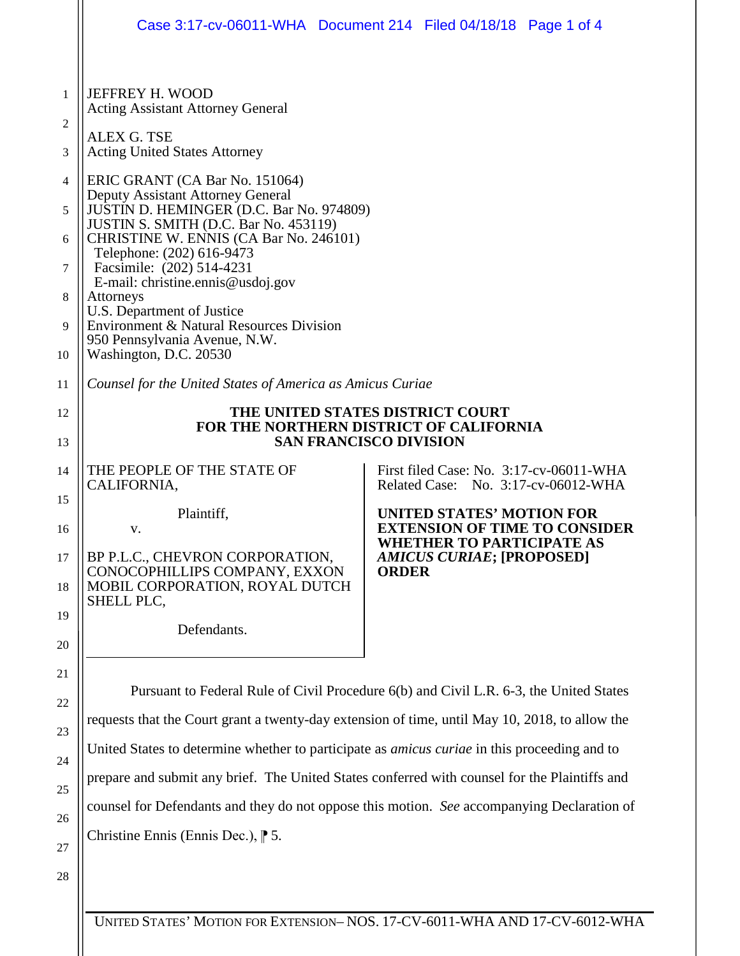|                                  | Case 3:17-cv-06011-WHA  Document 214  Filed 04/18/18  Page 1 of 4                                                                                                                                                                                                                                                                                                                                                                                   |  |                                                                                                                                                                  |  |  |
|----------------------------------|-----------------------------------------------------------------------------------------------------------------------------------------------------------------------------------------------------------------------------------------------------------------------------------------------------------------------------------------------------------------------------------------------------------------------------------------------------|--|------------------------------------------------------------------------------------------------------------------------------------------------------------------|--|--|
| 1<br>2<br>3                      | JEFFREY H. WOOD<br><b>Acting Assistant Attorney General</b><br><b>ALEX G. TSE</b><br><b>Acting United States Attorney</b>                                                                                                                                                                                                                                                                                                                           |  |                                                                                                                                                                  |  |  |
| 4<br>5<br>6<br>7<br>8<br>9<br>10 | ERIC GRANT (CA Bar No. 151064)<br>Deputy Assistant Attorney General<br>JUSTIN D. HEMINGER (D.C. Bar No. 974809)<br>JUSTIN S. SMITH (D.C. Bar No. 453119)<br>CHRISTINE W. ENNIS (CA Bar No. 246101)<br>Telephone: (202) 616-9473<br>Facsimile: (202) 514-4231<br>E-mail: christine.ennis@usdoj.gov<br>Attorneys<br>U.S. Department of Justice<br>Environment & Natural Resources Division<br>950 Pennsylvania Avenue, N.W.<br>Washington, D.C. 20530 |  |                                                                                                                                                                  |  |  |
| 11                               | Counsel for the United States of America as Amicus Curiae                                                                                                                                                                                                                                                                                                                                                                                           |  |                                                                                                                                                                  |  |  |
| 12<br>13                         | THE UNITED STATES DISTRICT COURT<br>FOR THE NORTHERN DISTRICT OF CALIFORNIA<br><b>SAN FRANCISCO DIVISION</b>                                                                                                                                                                                                                                                                                                                                        |  |                                                                                                                                                                  |  |  |
| 14                               | THE PEOPLE OF THE STATE OF<br>CALIFORNIA,                                                                                                                                                                                                                                                                                                                                                                                                           |  | First filed Case: No. 3:17-cv-06011-WHA<br>Related Case: No. 3:17-cv-06012-WHA                                                                                   |  |  |
| 15<br>16                         | Plaintiff,<br>V.                                                                                                                                                                                                                                                                                                                                                                                                                                    |  | <b>UNITED STATES' MOTION FOR</b><br><b>EXTENSION OF TIME TO CONSIDER</b><br><b>WHETHER TO PARTICIPATE AS</b><br><b>AMICUS CURIAE; [PROPOSED]</b><br><b>ORDER</b> |  |  |
| 17<br>18                         | BP P.L.C., CHEVRON CORPORATION,<br>CONOCOPHILLIPS COMPANY, EXXON<br>MOBIL CORPORATION, ROYAL DUTCH<br>SHELL PLC,                                                                                                                                                                                                                                                                                                                                    |  |                                                                                                                                                                  |  |  |
| 19<br>20                         | Defendants.                                                                                                                                                                                                                                                                                                                                                                                                                                         |  |                                                                                                                                                                  |  |  |
| 21                               | Pursuant to Federal Rule of Civil Procedure 6(b) and Civil L.R. 6-3, the United States                                                                                                                                                                                                                                                                                                                                                              |  |                                                                                                                                                                  |  |  |
| 22                               | requests that the Court grant a twenty-day extension of time, until May 10, 2018, to allow the                                                                                                                                                                                                                                                                                                                                                      |  |                                                                                                                                                                  |  |  |
| 23                               | United States to determine whether to participate as <i>amicus curiae</i> in this proceeding and to                                                                                                                                                                                                                                                                                                                                                 |  |                                                                                                                                                                  |  |  |
| 24                               | prepare and submit any brief. The United States conferred with counsel for the Plaintiffs and                                                                                                                                                                                                                                                                                                                                                       |  |                                                                                                                                                                  |  |  |
| 25<br>26                         | counsel for Defendants and they do not oppose this motion. See accompanying Declaration of                                                                                                                                                                                                                                                                                                                                                          |  |                                                                                                                                                                  |  |  |
|                                  | Christine Ennis (Ennis Dec.), $\uparrow$ 5.                                                                                                                                                                                                                                                                                                                                                                                                         |  |                                                                                                                                                                  |  |  |

27 28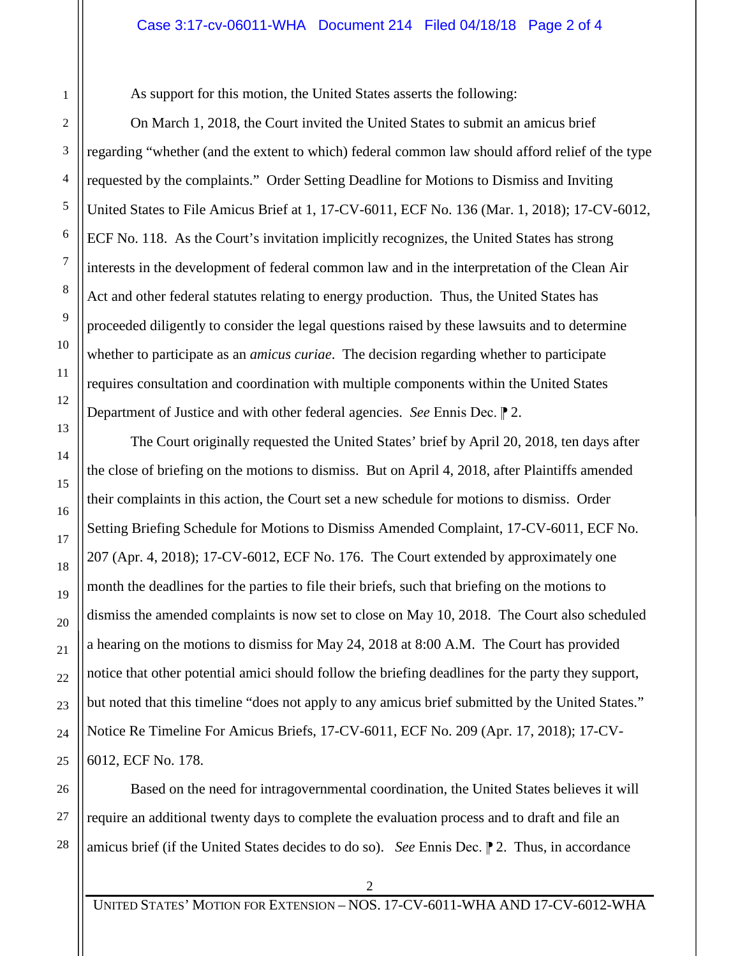## Case 3:17-cv-06011-WHA Document 214 Filed 04/18/18 Page 2 of 4

As support for this motion, the United States asserts the following:

On March 1, 2018, the Court invited the United States to submit an amicus brief regarding "whether (and the extent to which) federal common law should afford relief of the type requested by the complaints." Order Setting Deadline for Motions to Dismiss and Inviting United States to File Amicus Brief at 1, 17-CV-6011, ECF No. 136 (Mar. 1, 2018); 17-CV-6012, ECF No. 118. As the Court's invitation implicitly recognizes, the United States has strong interests in the development of federal common law and in the interpretation of the Clean Air Act and other federal statutes relating to energy production. Thus, the United States has proceeded diligently to consider the legal questions raised by these lawsuits and to determine whether to participate as an *amicus curiae*. The decision regarding whether to participate requires consultation and coordination with multiple components within the United States Department of Justice and with other federal agencies. *See* Ennis Dec. 2.

The Court originally requested the United States' brief by April 20, 2018, ten days after the close of briefing on the motions to dismiss. But on April 4, 2018, after Plaintiffs amended their complaints in this action, the Court set a new schedule for motions to dismiss. Order Setting Briefing Schedule for Motions to Dismiss Amended Complaint, 17-CV-6011, ECF No. 207 (Apr. 4, 2018); 17-CV-6012, ECF No. 176. The Court extended by approximately one month the deadlines for the parties to file their briefs, such that briefing on the motions to dismiss the amended complaints is now set to close on May 10, 2018. The Court also scheduled a hearing on the motions to dismiss for May 24, 2018 at 8:00 A.M. The Court has provided notice that other potential amici should follow the briefing deadlines for the party they support, but noted that this timeline "does not apply to any amicus brief submitted by the United States." Notice Re Timeline For Amicus Briefs, 17-CV-6011, ECF No. 209 (Apr. 17, 2018); 17-CV-6012, ECF No. 178.

Based on the need for intragovernmental coordination, the United States believes it will require an additional twenty days to complete the evaluation process and to draft and file an amicus brief (if the United States decides to do so). *See* Ennis Dec. <sup>2</sup>. Thus, in accordance

UNITED STATES' MOTION FOR EXTENSION – NOS. 17-CV-6011-WHA AND 17-CV-6012-WHA

 $\mathcal{D}_{\mathcal{L}}$ 

28

1

2

3

4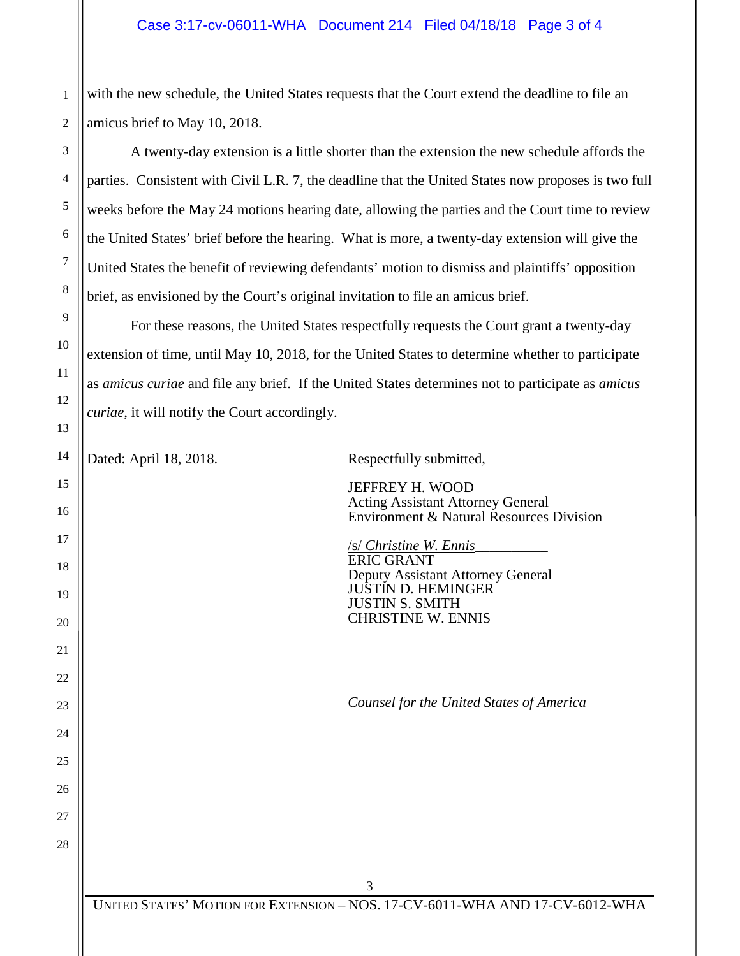## Case 3:17-cv-06011-WHA Document 214 Filed 04/18/18 Page 3 of 4

2 with the new schedule, the United States requests that the Court extend the deadline to file an amicus brief to May 10, 2018.

A twenty-day extension is a little shorter than the extension the new schedule affords the parties. Consistent with Civil L.R. 7, the deadline that the United States now proposes is two full weeks before the May 24 motions hearing date, allowing the parties and the Court time to review the United States' brief before the hearing. What is more, a twenty-day extension will give the United States the benefit of reviewing defendants' motion to dismiss and plaintiffs' opposition brief, as envisioned by the Court's original invitation to file an amicus brief.

For these reasons, the United States respectfully requests the Court grant a twenty-day extension of time, until May 10, 2018, for the United States to determine whether to participate as *amicus curiae* and file any brief. If the United States determines not to participate as *amicus curiae*, it will notify the Court accordingly.

1

3

4

5

6

7

8

9

10

11

12

13

14

15

16

17

18

19

20

21

22

23

24

25

26

27

28

Dated: April 18, 2018. Respectfully submitted,

JEFFREY H. WOOD Acting Assistant Attorney General Environment & Natural Resources Division

/s/ *Christine W. Ennis*\_\_\_\_\_\_\_\_\_\_ ERIC GRANT Deputy Assistant Attorney General JUSTIN D. HEMINGER JUSTIN S. SMITH CHRISTINE W. ENNIS

*Counsel for the United States of America*